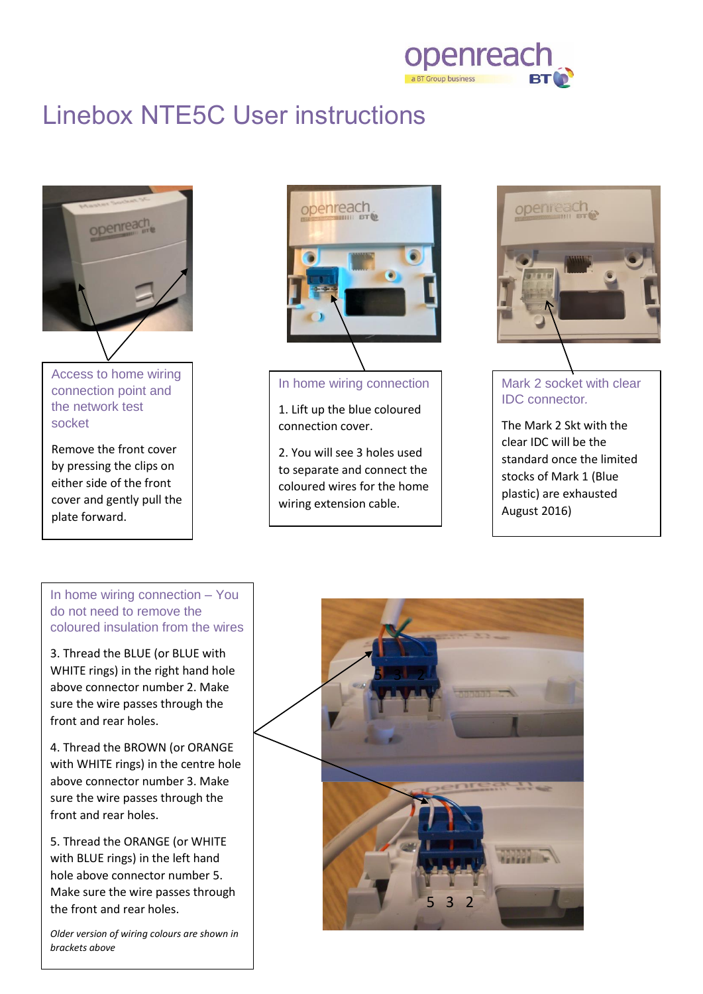# openrea a BT Group business

# Linebox NTE5C User instructions



Access to home wiring connection point and the network test socket

Remove the front cover by pressing the clips on either side of the front cover and gently pull the plate forward.



# In home wiring connection

1. Lift up the blue coloured connection cover.

2. You will see 3 holes used to separate and connect the coloured wires for the home wiring extension cable.



# Mark 2 socket with clear IDC connector*.*

The Mark 2 Skt with the clear IDC will be the standard once the limited stocks of Mark 1 (Blue plastic) are exhausted August 2016)

# In home wiring connection – You do not need to remove the coloured insulation from the wires

3. Thread the BLUE (or BLUE with WHITE rings) in the right hand hole above connector number 2. Make sure the wire passes through the front and rear holes.

4. Thread the BROWN (or ORANGE with WHITE rings) in the centre hole above connector number 3. Make sure the wire passes through the front and rear holes.

5. Thread the ORANGE (or WHITE with BLUE rings) in the left hand hole above connector number 5. Make sure the wire passes through the front and rear holes.

*Older version of wiring colours are shown in brackets above*

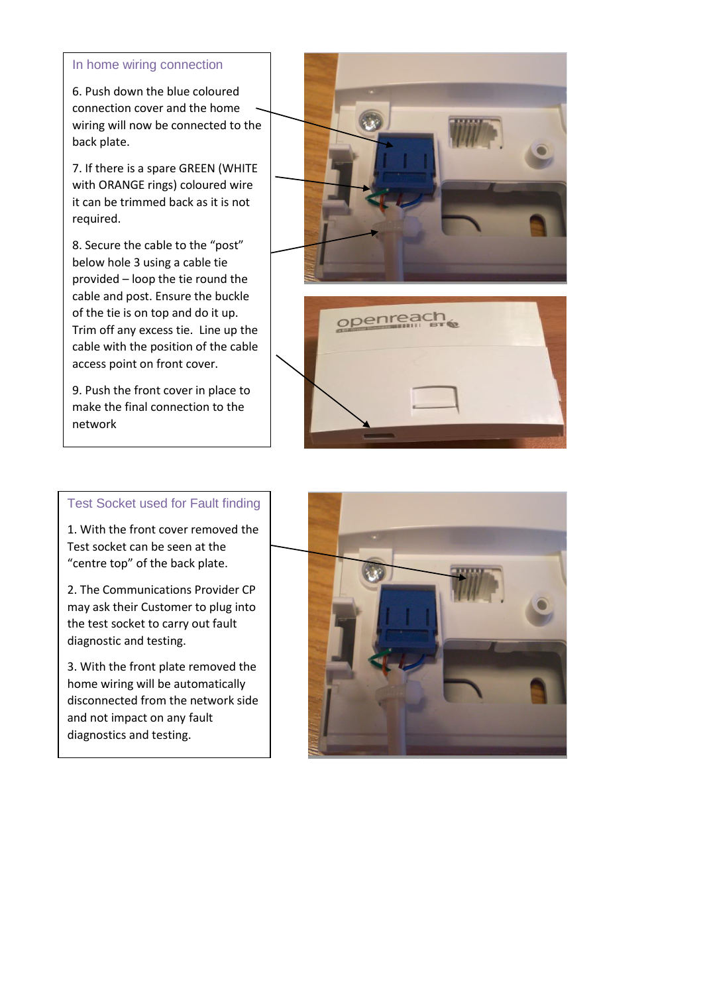#### In home wiring connection

6. Push down the blue coloured connection cover and the home wiring will now be connected to the back plate.

7. If there is a spare GREEN (WHITE with ORANGE rings) coloured wire it can be trimmed back as it is not required.

8. Secure the cable to the "post" below hole 3 using a cable tie provided – loop the tie round the cable and post. Ensure the buckle of the tie is on top and do it up. Trim off any excess tie. Line up the cable with the position of the cable access point on front cover.

9. Push the front cover in place to make the final connection to the network





#### Test Socket used for Fault finding

1. With the front cover removed the Test socket can be seen at the "centre top" of the back plate.

2. The Communications Provider CP may ask their Customer to plug into the test socket to carry out fault diagnostic and testing.

3. With the front plate removed the home wiring will be automatically disconnected from the network side and not impact on any fault diagnostics and testing.